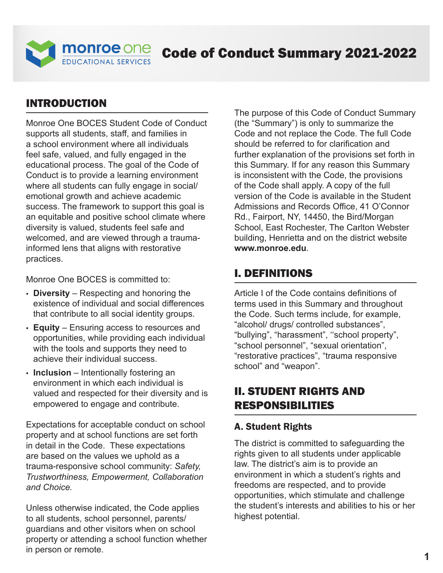

# Code of Conduct Summary 2021-2022

### INTRODUCTION

Monroe One BOCES Student Code of Conduct supports all students, staff, and families in a school environment where all individuals feel safe, valued, and fully engaged in the educational process. The goal of the Code of Conduct is to provide a learning environment where all students can fully engage in social/ emotional growth and achieve academic success. The framework to support this goal is an equitable and positive school climate where diversity is valued, students feel safe and welcomed, and are viewed through a traumainformed lens that aligns with restorative practices.

Monroe One BOCES is committed to:

- **Diversity**  Respecting and honoring the existence of individual and social differences that contribute to all social identity groups.
- **Equity**  Ensuring access to resources and opportunities, while providing each individual with the tools and supports they need to achieve their individual success.
- **Inclusion**  Intentionally fostering an environment in which each individual is valued and respected for their diversity and is empowered to engage and contribute.

Expectations for acceptable conduct on school property and at school functions are set forth in detail in the Code. These expectations are based on the values we uphold as a trauma-responsive school community: *Safety, Trustworthiness, Empowerment, Collaboration and Choice.* 

Unless otherwise indicated, the Code applies to all students, school personnel, parents/ guardians and other visitors when on school property or attending a school function whether in person or remote.

The purpose of this Code of Conduct Summary (the "Summary") is only to summarize the Code and not replace the Code. The full Code should be referred to for clarification and further explanation of the provisions set forth in this Summary. If for any reason this Summary is inconsistent with the Code, the provisions of the Code shall apply. A copy of the full version of the Code is available in the Student Admissions and Records Office, 41 O'Connor Rd., Fairport, NY, 14450, the Bird/Morgan School, East Rochester, The Carlton Webster building, Henrietta and on the district website **[www.monroe.edu](https://www.monroe.edu)**.

### I. DEFINITIONS

Article I of the Code contains definitions of terms used in this Summary and throughout the Code. Such terms include, for example, "alcohol/ drugs/ controlled substances", "bullying", "harassment", ''school property", "school personnel", "sexual orientation", "restorative practices", "trauma responsive school" and "weapon".

### II. STUDENT RIGHTS AND RESPONSIBILITIES

#### A. Student Rights

The district is committed to safeguarding the rights given to all students under applicable law. The district's aim is to provide an environment in which a student's rights and freedoms are respected, and to provide opportunities, which stimulate and challenge the student's interests and abilities to his or her highest potential.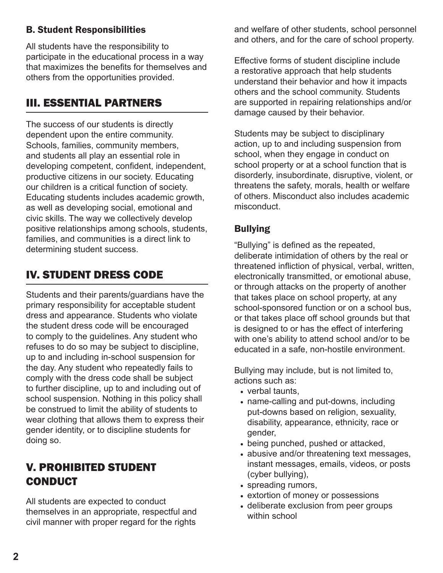### B. Student Responsibilities

All students have the responsibility to participate in the educational process in a way that maximizes the benefits for themselves and others from the opportunities provided.

## III. ESSENTIAL PARTNERS

The success of our students is directly dependent upon the entire community. Schools, families, community members, and students all play an essential role in developing competent, confident, independent, productive citizens in our society. Educating our children is a critical function of society. Educating students includes academic growth, as well as developing social, emotional and civic skills. The way we collectively develop positive relationships among schools, students, families, and communities is a direct link to determining student success.

## IV. STUDENT DRESS CODE

Students and their parents/guardians have the primary responsibility for acceptable student dress and appearance. Students who violate the student dress code will be encouraged to comply to the guidelines. Any student who refuses to do so may be subject to discipline, up to and including in-school suspension for the day. Any student who repeatedly fails to comply with the dress code shall be subject to further discipline, up to and including out of school suspension. Nothing in this policy shall be construed to limit the ability of students to wear clothing that allows them to express their gender identity, or to discipline students for doing so.

## V. PROHIBITED STUDENT CONDUCT

All students are expected to conduct themselves in an appropriate, respectful and civil manner with proper regard for the rights

and welfare of other students, school personnel and others, and for the care of school property.

Effective forms of student discipline include a restorative approach that help students understand their behavior and how it impacts others and the school community. Students are supported in repairing relationships and/or damage caused by their behavior.

Students may be subject to disciplinary action, up to and including suspension from school, when they engage in conduct on school property or at a school function that is disorderly, insubordinate, disruptive, violent, or threatens the safety, morals, health or welfare of others. Misconduct also includes academic misconduct.

## Bullying

"Bullying" is defined as the repeated, deliberate intimidation of others by the real or threatened infliction of physical, verbal, written, electronically transmitted, or emotional abuse, or through attacks on the property of another that takes place on school property, at any school-sponsored function or on a school bus, or that takes place off school grounds but that is designed to or has the effect of interfering with one's ability to attend school and/or to be educated in a safe, non-hostile environment.

Bullying may include, but is not limited to, actions such as:

- verbal taunts,
- name-calling and put-downs, including put-downs based on religion, sexuality, disability, appearance, ethnicity, race or gender,
- being punched, pushed or attacked,
- abusive and/or threatening text messages, instant messages, emails, videos, or posts (cyber bullying),
- spreading rumors,
- extortion of money or possessions
- deliberate exclusion from peer groups within school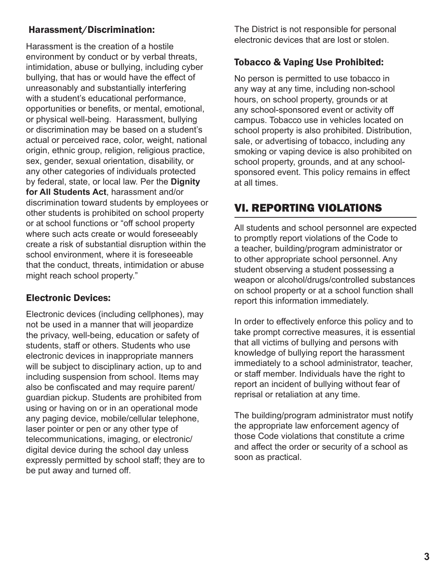### Harassment/Discrimination:

Harassment is the creation of a hostile environment by conduct or by verbal threats, intimidation, abuse or bullying, including cyber bullying, that has or would have the effect of unreasonably and substantially interfering with a student's educational performance, opportunities or benefits, or mental, emotional, or physical well-being. Harassment, bullying or discrimination may be based on a student's actual or perceived race, color, weight, national origin, ethnic group, religion, religious practice, sex, gender, sexual orientation, disability, or any other categories of individuals protected by federal, state, or local law. Per the **Dignity for All Students Act**, harassment and/or discrimination toward students by employees or other students is prohibited on school property or at school functions or "off school property where such acts create or would foreseeably create a risk of substantial disruption within the school environment, where it is foreseeable that the conduct, threats, intimidation or abuse might reach school property."

## Electronic Devices:

Electronic devices (including cellphones), may not be used in a manner that will jeopardize the privacy, well-being, education or safety of students, staff or others. Students who use electronic devices in inappropriate manners will be subject to disciplinary action, up to and including suspension from school. Items may also be confiscated and may require parent/ guardian pickup. Students are prohibited from using or having on or in an operational mode any paging device, mobile/cellular telephone, laser pointer or pen or any other type of telecommunications, imaging, or electronic/ digital device during the school day unless expressly permitted by school staff; they are to be put away and turned off.

The District is not responsible for personal electronic devices that are lost or stolen.

### Tobacco & Vaping Use Prohibited:

No person is permitted to use tobacco in any way at any time, including non-school hours, on school property, grounds or at any school-sponsored event or activity off campus. Tobacco use in vehicles located on school property is also prohibited. Distribution, sale, or advertising of tobacco, including any smoking or vaping device is also prohibited on school property, grounds, and at any schoolsponsored event. This policy remains in effect at all times.

## VI. REPORTING VIOLATIONS

All students and school personnel are expected to promptly report violations of the Code to a teacher, building/program administrator or to other appropriate school personnel. Any student observing a student possessing a weapon or alcohol/drugs/controlled substances on school property or at a school function shall report this information immediately.

In order to effectively enforce this policy and to take prompt corrective measures, it is essential that all victims of bullying and persons with knowledge of bullying report the harassment immediately to a school administrator, teacher, or staff member. Individuals have the right to report an incident of bullying without fear of reprisal or retaliation at any time.

The building/program administrator must notify the appropriate law enforcement agency of those Code violations that constitute a crime and affect the order or security of a school as soon as practical.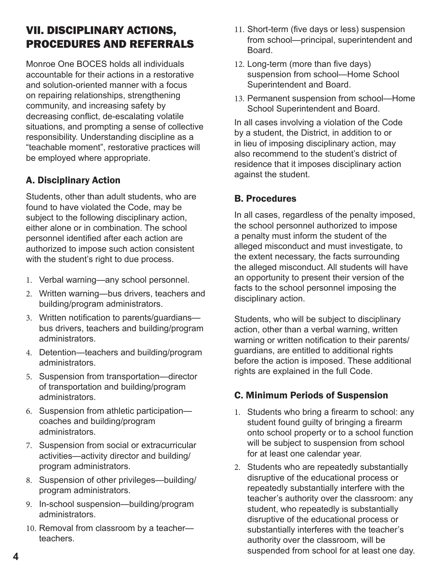# VII. DISCIPLINARY ACTIONS, PROCEDURES AND REFERRALS

Monroe One BOCES holds all individuals accountable for their actions in a restorative and solution-oriented manner with a focus on repairing relationships, strengthening community, and increasing safety by decreasing conflict, de-escalating volatile situations, and prompting a sense of collective responsibility. Understanding discipline as a "teachable moment", restorative practices will be employed where appropriate.

## A. Disciplinary Action

Students, other than adult students, who are found to have violated the Code, may be subject to the following disciplinary action, either alone or in combination. The school personnel identified after each action are authorized to impose such action consistent with the student's right to due process.

- 1. Verbal warning—any school personnel.
- 2. Written warning—bus drivers, teachers and building/program administrators.
- 3. Written notification to parents/guardians bus drivers, teachers and building/program administrators.
- 4. Detention—teachers and building/program administrators.
- 5. Suspension from transportation—director of transportation and building/program administrators.
- 6. Suspension from athletic participation coaches and building/program administrators.
- 7. Suspension from social or extracurricular activities—activity director and building/ program administrators.
- 8. Suspension of other privileges—building/ program administrators.
- 9. In-school suspension—building/program administrators.
- 10. Removal from classroom by a teacher teachers.
- 11. Short-term (five days or less) suspension from school—principal, superintendent and **Board**
- 12. Long-term (more than five days) suspension from school—Home School Superintendent and Board.
- 13. Permanent suspension from school—Home School Superintendent and Board.

In all cases involving a violation of the Code by a student, the District, in addition to or in lieu of imposing disciplinary action, may also recommend to the student's district of residence that it imposes disciplinary action against the student.

### B. Procedures

In all cases, regardless of the penalty imposed, the school personnel authorized to impose a penalty must inform the student of the alleged misconduct and must investigate, to the extent necessary, the facts surrounding the alleged misconduct. All students will have an opportunity to present their version of the facts to the school personnel imposing the disciplinary action.

Students, who will be subject to disciplinary action, other than a verbal warning, written warning or written notification to their parents/ guardians, are entitled to additional rights before the action is imposed. These additional rights are explained in the full Code.

### C. Minimum Periods of Suspension

- 1. Students who bring a firearm to school: any student found guilty of bringing a firearm onto school property or to a school function will be subject to suspension from school for at least one calendar year.
- 2. Students who are repeatedly substantially disruptive of the educational process or repeatedly substantially interfere with the teacher's authority over the classroom: any student, who repeatedly is substantially disruptive of the educational process or substantially interferes with the teacher's authority over the classroom, will be suspended from school for at least one day.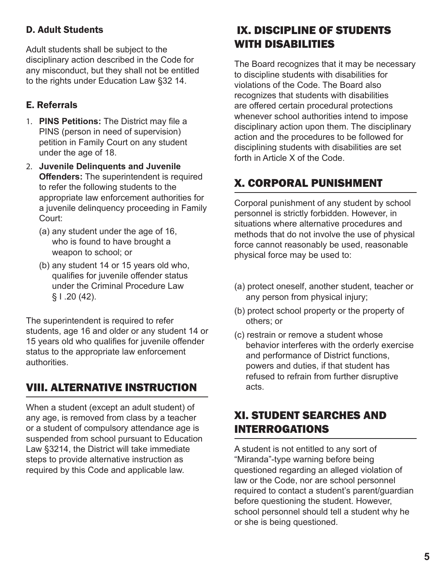## D. Adult Students

Adult students shall be subject to the disciplinary action described in the Code for any misconduct, but they shall not be entitled to the rights under Education Law §32 14.

## E. Referrals

- 1. **PINS Petitions:** The District may file a PINS (person in need of supervision) petition in Family Court on any student under the age of 18.
- 2. **Juvenile Delinquents and Juvenile Offenders:** The superintendent is required to refer the following students to the appropriate law enforcement authorities for a juvenile delinquency proceeding in Family Court:
	- (a) any student under the age of 16, who is found to have brought a weapon to school; or
	- (b) any student 14 or 15 years old who, qualifies for juvenile offender status under the Criminal Procedure Law  $§ 1.20(42).$

The superintendent is required to refer students, age 16 and older or any student 14 or 15 years old who qualifies for juvenile offender status to the appropriate law enforcement authorities.

# VIII. ALTERNATIVE INSTRUCTION

When a student (except an adult student) of any age, is removed from class by a teacher or a student of compulsory attendance age is suspended from school pursuant to Education Law §3214, the District will take immediate steps to provide alternative instruction as required by this Code and applicable law.

# IX. DISCIPLINE OF STUDENTS WITH DISABILITIES

The Board recognizes that it may be necessary to discipline students with disabilities for violations of the Code. The Board also recognizes that students with disabilities are offered certain procedural protections whenever school authorities intend to impose disciplinary action upon them. The disciplinary action and the procedures to be followed for disciplining students with disabilities are set forth in Article X of the Code.

# X. CORPORAL PUNISHMENT

Corporal punishment of any student by school personnel is strictly forbidden. However, in situations where alternative procedures and methods that do not involve the use of physical force cannot reasonably be used, reasonable physical force may be used to:

- (a) protect oneself, another student, teacher or any person from physical injury;
- (b) protect school property or the property of others; or
- (c) restrain or remove a student whose behavior interferes with the orderly exercise and performance of District functions, powers and duties, if that student has refused to refrain from further disruptive acts.

## XI. STUDENT SEARCHES AND INTERROGATIONS

A student is not entitled to any sort of "Miranda"-type warning before being questioned regarding an alleged violation of law or the Code, nor are school personnel required to contact a student's parent/guardian before questioning the student. However, school personnel should tell a student why he or she is being questioned.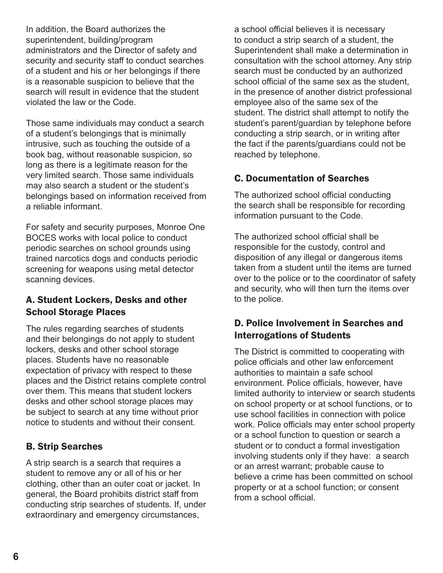In addition, the Board authorizes the superintendent, building/program administrators and the Director of safety and security and security staff to conduct searches of a student and his or her belongings if there is a reasonable suspicion to believe that the search will result in evidence that the student violated the law or the Code.

Those same individuals may conduct a search of a student's belongings that is minimally intrusive, such as touching the outside of a book bag, without reasonable suspicion, so long as there is a legitimate reason for the very limited search. Those same individuals may also search a student or the student's belongings based on information received from a reliable informant.

For safety and security purposes, Monroe One BOCES works with local police to conduct periodic searches on school grounds using trained narcotics dogs and conducts periodic screening for weapons using metal detector scanning devices.

#### A. Student Lockers, Desks and other School Storage Places

The rules regarding searches of students and their belongings do not apply to student lockers, desks and other school storage places. Students have no reasonable expectation of privacy with respect to these places and the District retains complete control over them. This means that student lockers desks and other school storage places may be subject to search at any time without prior notice to students and without their consent.

### B. Strip Searches

A strip search is a search that requires a student to remove any or all of his or her clothing, other than an outer coat or jacket. In general, the Board prohibits district staff from conducting strip searches of students. If, under extraordinary and emergency circumstances,

a school official believes it is necessary to conduct a strip search of a student, the Superintendent shall make a determination in consultation with the school attorney. Any strip search must be conducted by an authorized school official of the same sex as the student, in the presence of another district professional employee also of the same sex of the student. The district shall attempt to notify the student's parent/guardian by telephone before conducting a strip search, or in writing after the fact if the parents/guardians could not be reached by telephone.

## C. Documentation of Searches

The authorized school official conducting the search shall be responsible for recording information pursuant to the Code.

The authorized school official shall be responsible for the custody, control and disposition of any illegal or dangerous items taken from a student until the items are turned over to the police or to the coordinator of safety and security, who will then turn the items over to the police.

### D. Police Involvement in Searches and Interrogations of Students

The District is committed to cooperating with police officials and other law enforcement authorities to maintain a safe school environment. Police officials, however, have limited authority to interview or search students on school property or at school functions, or to use school facilities in connection with police work. Police officials may enter school property or a school function to question or search a student or to conduct a formal investigation involving students only if they have: a search or an arrest warrant; probable cause to believe a crime has been committed on school property or at a school function; or consent from a school official.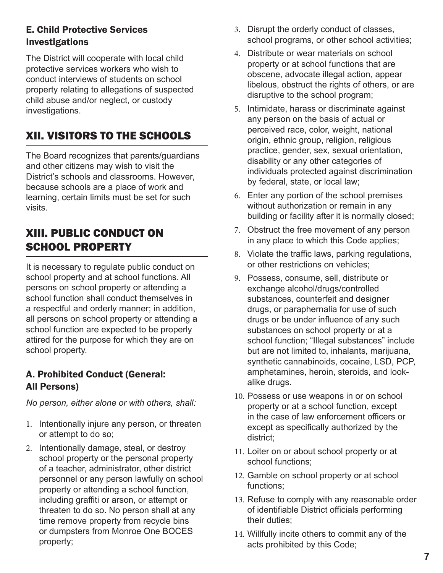## E. Child Protective Services Investigations

The District will cooperate with local child protective services workers who wish to conduct interviews of students on school property relating to allegations of suspected child abuse and/or neglect, or custody investigations.

# XII. VISITORS TO THE SCHOOLS

The Board recognizes that parents/guardians and other citizens may wish to visit the District's schools and classrooms. However, because schools are a place of work and learning, certain limits must be set for such visits.

## XIII. PUBLIC CONDUCT ON SCHOOL PROPERTY

It is necessary to regulate public conduct on school property and at school functions. All persons on school property or attending a school function shall conduct themselves in a respectful and orderly manner; in addition, all persons on school property or attending a school function are expected to be properly attired for the purpose for which they are on school property.

### A. Prohibited Conduct (General: All Persons)

*No person, either alone or with others, shall:* 

- 1. Intentionally injure any person, or threaten or attempt to do so;
- 2. Intentionally damage, steal, or destroy school property or the personal property of a teacher, administrator, other district personnel or any person lawfully on school property or attending a school function, including graffiti or arson, or attempt or threaten to do so. No person shall at any time remove property from recycle bins or dumpsters from Monroe One BOCES property;
- 3. Disrupt the orderly conduct of classes, school programs, or other school activities;
- 4. Distribute or wear materials on school property or at school functions that are obscene, advocate illegal action, appear libelous, obstruct the rights of others, or are disruptive to the school program;
- 5. Intimidate, harass or discriminate against any person on the basis of actual or perceived race, color, weight, national origin, ethnic group, religion, religious practice, gender, sex, sexual orientation, disability or any other categories of individuals protected against discrimination by federal, state, or local law;
- 6. Enter any portion of the school premises without authorization or remain in any building or facility after it is normally closed;
- 7. Obstruct the free movement of any person in any place to which this Code applies;
- 8. Violate the traffic laws, parking regulations, or other restrictions on vehicles;
- 9. Possess, consume, sell, distribute or exchange alcohol/drugs/controlled substances, counterfeit and designer drugs, or paraphernalia for use of such drugs or be under influence of any such substances on school property or at a school function; "Illegal substances" include but are not limited to, inhalants, marijuana, synthetic cannabinoids, cocaine, LSD, PCP, amphetamines, heroin, steroids, and lookalike drugs.
- 10. Possess or use weapons in or on school property or at a school function, except in the case of law enforcement officers or except as specifically authorized by the district;
- 11. Loiter on or about school property or at school functions;
- 12. Gamble on school property or at school functions;
- 13. Refuse to comply with any reasonable order of identifiable District officials performing their duties;
- 14. Willfully incite others to commit any of the acts prohibited by this Code;